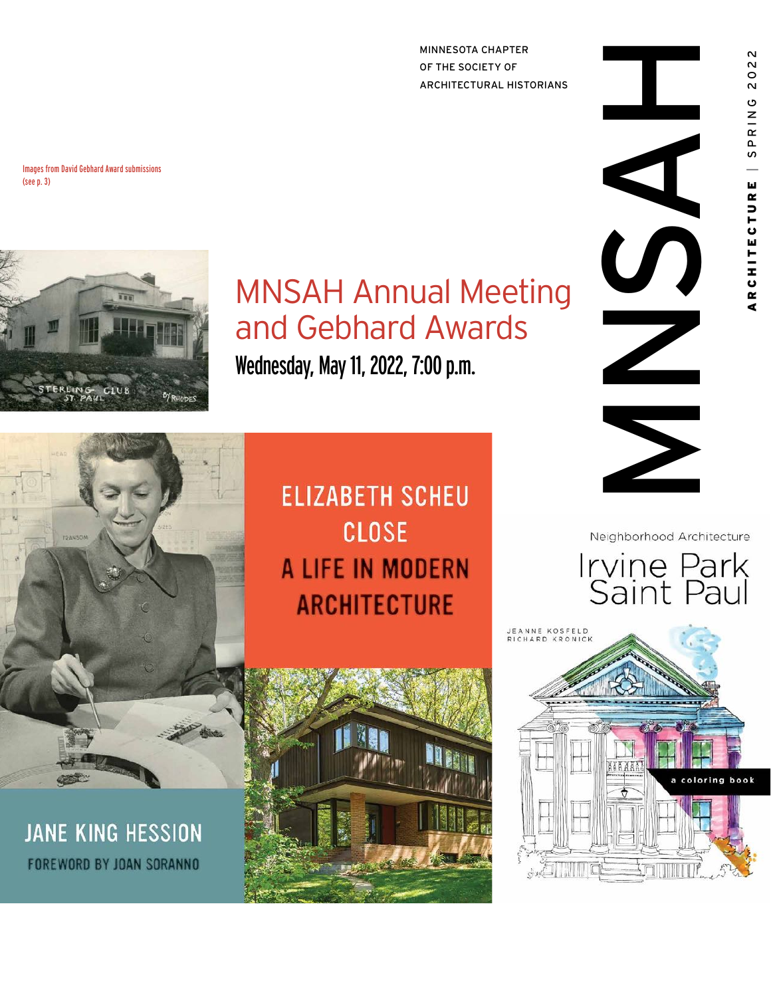MINNESOTA CHAPTER OF THE SOCIETY OF ARCHITECTURAL HISTORIANS

Images from David Gebhard Award submissions (see p. 3)



## MNSAH Annual Meeting and Gebhard Awards

Wednesday, May 11, 2022, 7:00 p.m.



**JANE KING HESSION FOREWORD BY JOAN SORANNO** 

**ELIZABETH SCHEU CLOSE** A LIFE IN MODERN **ARCHITECTURE** 





022  $\overline{\mathsf{N}}$ 

RING

 $\overline{5}$ 



Neighborhood Architecture



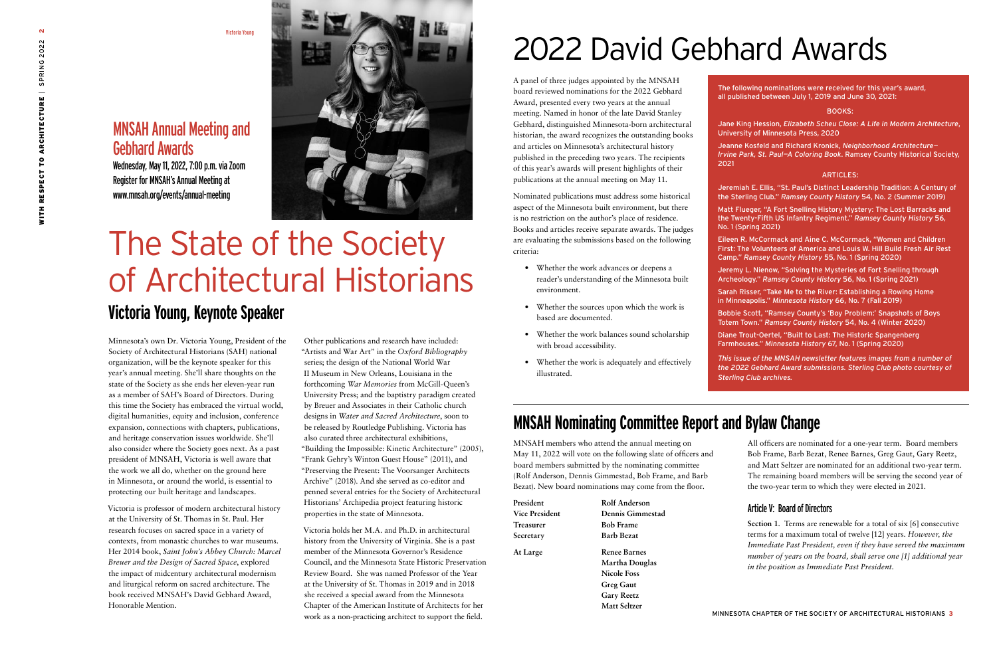

A panel of three judges appointed by the MNSAH board reviewed nominations for the 2022 Gebhard Award, presented every two years at the annual meeting. Named in honor of the late David Stanley Gebhard, distinguished Minnesota-born architectural historian, the award recognizes the outstanding books and articles on Minnesota's architectural history published in the preceding two years. The recipients of this year's awards will present highlights of their publications at the annual meeting on May 11.

- Whether the work advances or deepens a reader's understanding of the Minnesota built environment.
- Whether the sources upon which the work is based are documented.
- Whether the work balances sound scholarship with broad accessibility.
- Whether the work is adequately and effectively illustrated.

Nominated publications must address some historical aspect of the Minnesota built environment, but there is no restriction on the author's place of residence. Books and articles receive separate awards. The judges are evaluating the submissions based on the following criteria:

Minnesota's own Dr. Victoria Young, President of the Society of Architectural Historians (SAH) national organization, will be the keynote speaker for this year's annual meeting. She'll share thoughts on the state of the Society as she ends her eleven-year run as a member of SAH's Board of Directors. During this time the Society has embraced the virtual world, digital humanities, equity and inclusion, conference expansion, connections with chapters, publications, and heritage conservation issues worldwide. She'll also consider where the Society goes next. As a past president of MNSAH, Victoria is well aware that the work we all do, whether on the ground here in Minnesota, or around the world, is essential to protecting our built heritage and landscapes.

Victoria is professor of modern architectural history at the University of St. Thomas in St. Paul. Her research focuses on sacred space in a variety of contexts, from monastic churches to war museums. Her 2014 book, *Saint John's Abbey Church: Marcel Breuer and the Design of Sacred Space*, explored the impact of midcentury architectural modernism and liturgical reform on sacred architecture. The book received MNSAH's David Gebhard Award, Honorable Mention.

Other publications and research have included: "Artists and War Art" in the *Oxford Bibliography* series; the design of the National World War II Museum in New Orleans, Louisiana in the forthcoming *War Memories* from McGill-Queen's University Press; and the baptistry paradigm created by Breuer and Associates in their Catholic church designs in *Water and Sacred Architecture*, soon to be released by Routledge Publishing. Victoria has also curated three architectural exhibitions, "Building the Impossible: Kinetic Architecture" (2005), "Frank Gehry's Winton Guest House" (2011), and "Preserving the Present: The Voorsanger Architects Archive" (2018). And she served as co-editor and penned several entries for the Society of Architectural Historians' Archipedia project featuring historic properties in the state of Minnesota.

Victoria holds her M.A. and Ph.D. in architectural history from the University of Virginia. She is a past member of the Minnesota Governor's Residence Council, and the Minnesota State Historic Preservation Review Board. She was named Professor of the Year at the University of St. Thomas in 2019 and in 2018 she received a special award from the Minnesota Chapter of the American Institute of Architects for her work as a non-practicing architect to support the field.

Victoria Young

# The State of the Society of Architectural Historians **Victoria Young, Keynote Speaker**

## MNSAH Annual Meeting and Gebhard Awards

Wednesday, May 11, 2022, 7:00 p.m. via Zoom Register for MNSAH's Annual Meeting at www.mnsah.org/events/annual-meeting



The following nominations were received for this year's award, all published between July 1, 2019 and June 30, 2021:

#### BOOKS:

Jane King Hession, *Elizabeth Scheu Close: A Life in Modern Architecture*, University of Minnesota Press, 2020

Jeanne Kosfeld and Richard Kronick, *Neighborhood Architecture— Irvine Park, St. Paul—A Coloring Book*. Ramsey County Historical Society,

2021

#### ARTICLES:

Jeremiah E. Ellis, "St. Paul's Distinct Leadership Tradition: A Century of the Sterling Club." *Ramsey County History* 54, No. 2 (Summer 2019)

Matt Flueger, "A Fort Snelling History Mystery: The Lost Barracks and the Twenty-Fifth US Infantry Regiment." *Ramsey County History* 56, No. 1 (Spring 2021)

Eileen R. McCormack and Aine C. McCormack, "Women and Children First: The Volunteers of America and Louis W. Hill Build Fresh Air Rest Camp." *Ramsey County History* 55, No. 1 (Spring 2020)

Jeremy L. Nienow, "Solving the Mysteries of Fort Snelling through Archeology." *Ramsey County History* 56, No. 1 (Spring 2021)

Sarah Risser, "Take Me to the River: Establishing a Rowing Home in Minneapolis." *Minnesota History* 66, No. 7 (Fall 2019)

Bobbie Scott, "Ramsey County's 'Boy Problem:' Snapshots of Boys Totem Town." *Ramsey County History* 54, No. 4 (Winter 2020)

Diane Trout-Oertel, "Built to Last: The Historic Spangenberg Farmhouses." *Minnesota History* 67, No. 1 (Spring 2020)

*This issue of the MNSAH newsletter features images from a number of the 2022 Gebhard Award submissions. Sterling Club photo courtesy of Sterling Club archives.* 

# 2022 David Gebhard Awards

### **MNSAH Nominating Committee Report and Bylaw Change**

MNSAH members who attend the annual meeting on May 11, 2022 will vote on the following slate of officers and board members submitted by the nominating committee (Rolf Anderson, Dennis Gimmestad, Bob Frame, and Barb Bezat). New board nominations may come from the floor.

| President             | Rolf Anderson       |
|-----------------------|---------------------|
| <b>Vice President</b> | Dennis Gimmestad    |
| <b>Treasurer</b>      | <b>Bob Frame</b>    |
| Secretary             | <b>Barb Bezat</b>   |
| At Large              | <b>Renee Barnes</b> |
|                       | Martha Douglas      |
|                       | <b>Nicole Foss</b>  |
|                       | <b>Greg Gaut</b>    |
|                       | <b>Gary Reetz</b>   |
|                       | Matt Seltzer        |
|                       |                     |

All officers are nominated for a one-year term. Board members Bob Frame, Barb Bezat, Renee Barnes, Greg Gaut, Gary Reetz, and Matt Seltzer are nominated for an additional two-year term. The remaining board members will be serving the second year of the two-year term to which they were elected in 2021.

#### Article V: Board of Directors

**Section 1**. Terms are renewable for a total of six [6] consecutive terms for a maximum total of twelve [12] years. *However, the Immediate Past President, even if they have served the maximum number of years on the board, shall serve one [1] additional year in the position as Immediate Past President.*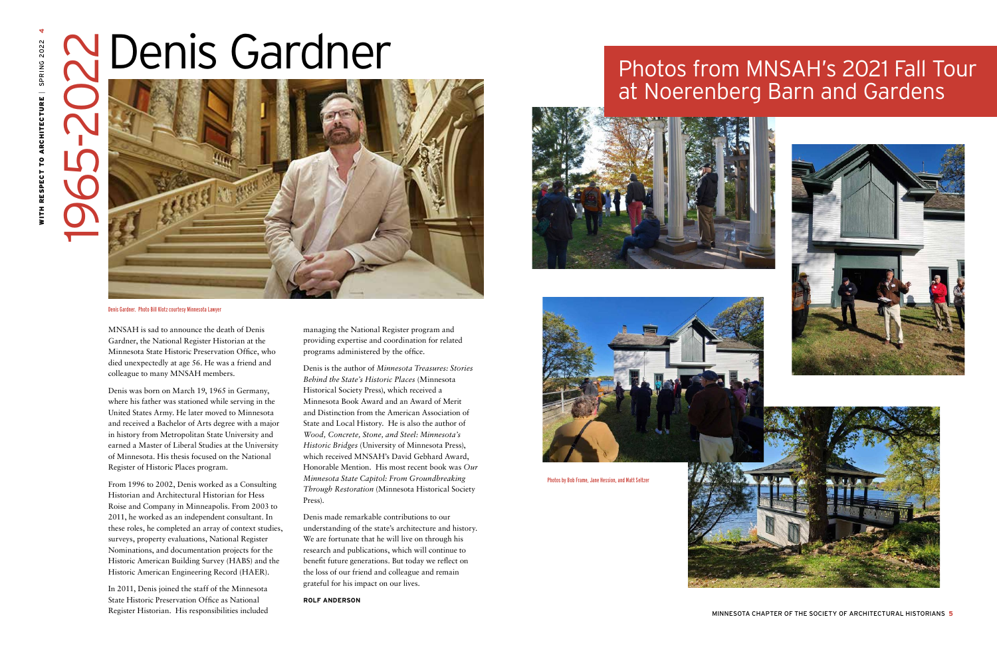# **N** Denis Gardner

MNSAH is sad to announce the death of Denis Gardner, the National Register Historian at the Minnesota State Historic Preservation Office, who died unexpectedly at age 56. He was a friend and colleague to many MNSAH members.

Denis was born on March 19, 1965 in Germany, where his father was stationed while serving in the United States Army. He later moved to Minnesota and received a Bachelor of Arts degree with a major in history from Metropolitan State University and earned a Master of Liberal Studies at the University of Minnesota. His thesis focused on the National Register of Historic Places program.

From 1996 to 2002, Denis worked as a Consulting Historian and Architectural Historian for Hess Roise and Company in Minneapolis. From 2003 to 2011, he worked as an independent consultant. In these roles, he completed an array of context studies, surveys, property evaluations, National Register Nominations, and documentation projects for the Historic American Building Survey (HABS) and the Historic American Engineering Record (HAER).

In 2011, Denis joined the staff of the Minnesota State Historic Preservation Office as National Register Historian. His responsibilities included managing the National Register program and providing expertise and coordination for related programs administered by the office.

Denis is the author of *Minnesota Treasures: Stories Behind the State's Historic Places* (Minnesota Historical Society Press), which received a Minnesota Book Award and an Award of Merit and Distinction from the American Association of State and Local History. He is also the author of *Wood, Concrete, Stone, and Steel: Minnesota's Historic Bridges* (University of Minnesota Press), which received MNSAH's David Gebhard Award, Honorable Mention. His most recent book was *Our Minnesota State Capitol: From Groundbreaking Through Restoration* (Minnesota Historical Society Press).

Denis made remarkable contributions to our understanding of the state's architecture and history. We are fortunate that he will live on through his research and publications, which will continue to benefit future generations. But today we reflect on the loss of our friend and colleague and remain grateful for his impact on our lives.

**ROLF ANDERSON** 





1965-2022



#### Denis Gardner. Photo Bill Klotz courtesy Minnesota Lawyer

## Photos from MNSAH's 2021 Fall Tour at Noerenberg Barn and Gardens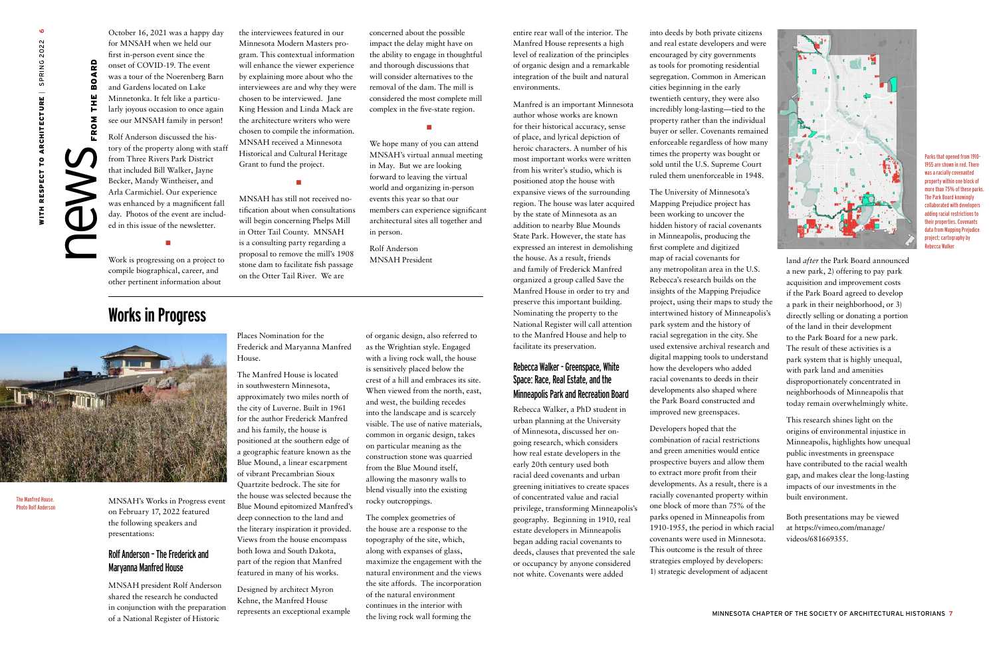$\mathsf{new}_{\sf recon}^{\sf tree}$ 

RD  $\mathbf{o}$  $\mathbf{r}$ 

분 ۰  $\pmb{\Sigma}$  $\bullet$  $\mathbf{R}$ 

**Works in Progress** 



MNSAH's Works in Progress event on February 17, 2022 featured the following speakers and presentations:

#### Rolf Anderson – The Frederick and Maryanna Manfred House

MNSAH president Rolf Anderson shared the research he conducted in conjunction with the preparation of a National Register of Historic

Places Nomination for the Frederick and Maryanna Manfred House.

The Manfred House is located in southwestern Minnesota, approximately two miles north of the city of Luverne. Built in 1961 for the author Frederick Manfred and his family, the house is positioned at the southern edge of a geographic feature known as the Blue Mound, a linear escarpment of vibrant Precambrian Sioux Quartzite bedrock. The site for the house was selected because the Blue Mound epitomized Manfred's deep connection to the land and the literary inspiration it provided. Views from the house encompass both Iowa and South Dakota, part of the region that Manfred featured in many of his works.

Designed by architect Myron Kehne, the Manfred House represents an exceptional example

of organic design, also referred to as the Wrightian style. Engaged with a living rock wall, the house is sensitively placed below the crest of a hill and embraces its site. When viewed from the north, east, and west, the building recedes into the landscape and is scarcely visible. The use of native materials, common in organic design, takes on particular meaning as the construction stone was quarried from the Blue Mound itself, allowing the masonry walls to blend visually into the existing rocky outcroppings.

The complex geometries of the house are a response to the topography of the site, which, along with expanses of glass, maximize the engagement with the natural environment and the views the site affords. The incorporation of the natural environment continues in the interior with the living rock wall forming the

October 16, 2021 was a happy day for MNSAH when we held our first in-person event since the onset of COVID-19. The event was a tour of the Noerenberg Barn and Gardens located on Lake Minnetonka. It felt like a particularly joyous occasion to once again see our MNSAH family in person!

Rolf Anderson discussed the history of the property along with staff from Three Rivers Park District that included Bill Walker, Jayne Becker, Mandy Wintheiser, and Arla Carmichiel. Our experience was enhanced by a magnificent fall day. Photos of the event are included in this issue of the newsletter.

■

Work is progressing on a project to compile biographical, career, and other pertinent information about

the interviewees featured in our Minnesota Modern Masters program. This contextual information will enhance the viewer experience by explaining more about who the interviewees are and why they were chosen to be interviewed. Jane King Hession and Linda Mack are the architecture writers who were chosen to compile the information. MNSAH received a Minnesota Historical and Cultural Heritage Grant to fund the project.

■

MNSAH has still not received notification about when consultations will begin concerning Phelps Mill in Otter Tail County. MNSAH is a consulting party regarding a proposal to remove the mill's 1908 stone dam to facilitate fish passage on the Otter Tail River. We are

concerned about the possible impact the delay might have on the ability to engage in thoughtful and thorough discussions that will consider alternatives to the removal of the dam. The mill is considered the most complete mill complex in the five-state region.

■

We hope many of you can attend MNSAH's virtual annual meeting in May. But we are looking forward to leaving the virtual world and organizing in-person events this year so that our members can experience significant architectural sites all together and in person.

Rolf Anderson MNSAH President

The Manfred House. Photo Rolf Anderson entire rear wall of the interior. The Manfred House represents a high level of realization of the principles of organic design and a remarkable integration of the built and natural environments.

Manfred is an important Minnesota author whose works are known for their historical accuracy, sense of place, and lyrical depiction of heroic characters. A number of his most important works were written from his writer's studio, which is positioned atop the house with expansive views of the surrounding region. The house was later acquired by the state of Minnesota as an addition to nearby Blue Mounds State Park. However, the state has expressed an interest in demolishing the house. As a result, friends and family of Frederick Manfred organized a group called Save the Manfred House in order to try and preserve this important building. Nominating the property to the National Register will call attention to the Manfred House and help to facilitate its preservation.

#### Rebecca Walker - Greenspace, White Space: Race, Real Estate, and the Minneapolis Park and Recreation Board

Rebecca Walker, a PhD student in urban planning at the University of Minnesota, discussed her ongoing research, which considers how real estate developers in the early 20th century used both racial deed covenants and urban greening initiatives to create spaces of concentrated value and racial privilege, transforming Minneapolis's geography. Beginning in 1910, real estate developers in Minneapolis began adding racial covenants to deeds, clauses that prevented the sale or occupancy by anyone considered not white. Covenants were added

into deeds by both private citizens and real estate developers and were encouraged by city governments as tools for promoting residential segregation. Common in American cities beginning in the early twentieth century, they were also incredibly long-lasting—tied to the property rather than the individual buyer or seller. Covenants remained enforceable regardless of how many times the property was bought or sold until the U.S. Supreme Court ruled them unenforceable in 1948.

The University of Minnesota's Mapping Prejudice project has been working to uncover the hidden history of racial covenants in Minneapolis, producing the first complete and digitized map of racial covenants for any metropolitan area in the U.S. Rebecca's research builds on the insights of the Mapping Prejudice project, using their maps to study the intertwined history of Minneapolis's park system and the history of racial segregation in the city. She used extensive archival research and digital mapping tools to understand how the developers who added racial covenants to deeds in their developments also shaped where the Park Board constructed and improved new greenspaces.

Developers hoped that the combination of racial restrictions and green amenities would entice prospective buyers and allow them to extract more profit from their developments. As a result, there is a racially covenanted property within one block of more than 75% of the parks opened in Minneapolis from 1910-1955, the period in which racial covenants were used in Minnesota. This outcome is the result of three strategies employed by developers: 1) strategic development of adjacent



land *after* the Park Board announced a new park, 2) offering to pay park acquisition and improvement costs if the Park Board agreed to develop a park in their neighborhood, or 3) directly selling or donating a portion of the land in their development to the Park Board for a new park. The result of these activities is a park system that is highly unequal, with park land and amenities disproportionately concentrated in neighborhoods of Minneapolis that today remain overwhelmingly white.

This research shines light on the origins of environmental injustice in Minneapolis, highlights how unequal public investments in greenspace have contributed to the racial wealth gap, and makes clear the long-lasting impacts of our investments in the built environment.

Both presentations may be viewed at https://vimeo.com/manage/ videos/681669355.

Parks that opened from 1910- 1955 are shown in red. There was a racially covenanted property within one block of more than 75% of these parks. The Park Board knowingly collaborated with developers adding racial restrictions to their properties. Covenants data from Mapping Prejudice project; cartography by Rebecca Walker